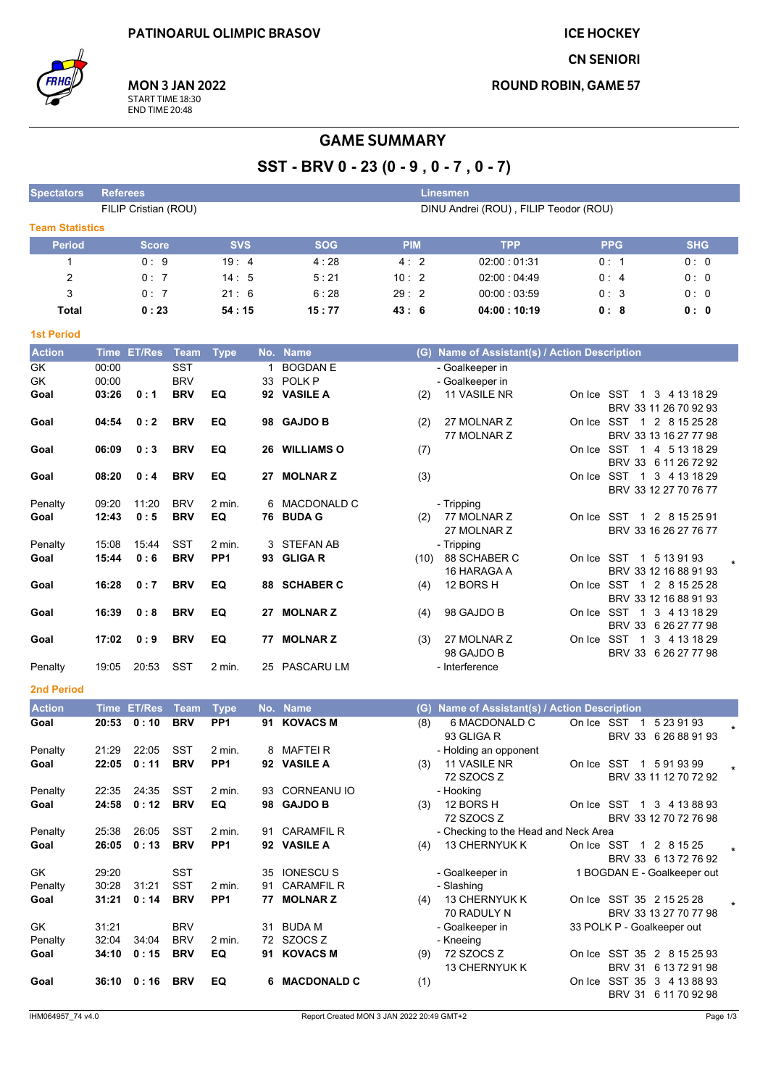**ICE HOCKEY** 

**CN SENIORI** 

**ROUND ROBIN, GAME 57** 



**MON 3 JAN 2022** START TIME 18:30<br>END TIME 20:48

## **GAME SUMMARY**

## SST-BRV 0-23 (0-9, 0-7, 0-7)

| <b>Spectators</b>      | <b>Referees</b> |                      |             |                                       |     |                    |            |     | <b>Linesmen</b>                               |  |                                                   |            |  |
|------------------------|-----------------|----------------------|-------------|---------------------------------------|-----|--------------------|------------|-----|-----------------------------------------------|--|---------------------------------------------------|------------|--|
|                        |                 | FILIP Cristian (ROU) |             | DINU Andrei (ROU), FILIP Teodor (ROU) |     |                    |            |     |                                               |  |                                                   |            |  |
| <b>Team Statistics</b> |                 |                      |             |                                       |     |                    |            |     |                                               |  |                                                   |            |  |
| <b>Period</b>          |                 | <b>Score</b>         |             | <b>SVS</b>                            |     | <b>SOG</b>         | <b>PIM</b> |     | <b>TPP</b>                                    |  | <b>PPG</b>                                        | <b>SHG</b> |  |
| 1                      |                 | 0:9                  |             | 19:4                                  |     | 4:28               | 4:2        |     | 02:00 01:31                                   |  | 0:1                                               | 0:0        |  |
| $\overline{2}$         |                 | 0:7                  |             | 14:5                                  |     | 5:21               | 10:2       |     | 02:00:04:49                                   |  | 0:4                                               | 0:0        |  |
| 3                      |                 | 0:7                  |             | 21:6                                  |     | 6:28               | 29:2       |     | 00:00:03:59                                   |  | 0:3                                               | 0:0        |  |
|                        |                 | 0:23                 |             |                                       |     | 15:77              | 43:6       |     | 04:00:10:19                                   |  | 0:8                                               | 0: 0       |  |
| <b>Total</b>           |                 |                      |             | 54 : 15                               |     |                    |            |     |                                               |  |                                                   |            |  |
| <b>1st Period</b>      |                 |                      |             |                                       |     |                    |            |     |                                               |  |                                                   |            |  |
| <b>Action</b>          |                 | Time ET/Res Team     |             | <b>Type</b>                           |     | No. Name           |            |     | (G) Name of Assistant(s) / Action Description |  |                                                   |            |  |
| GK                     | 00:00           |                      | <b>SST</b>  |                                       | 1   | <b>BOGDAN E</b>    |            |     | - Goalkeeper in                               |  |                                                   |            |  |
| GK                     | 00:00           |                      | <b>BRV</b>  |                                       | 33  | POLK <sub>P</sub>  |            |     | - Goalkeeper in                               |  |                                                   |            |  |
| Goal                   | 03:26           | 0:1                  | <b>BRV</b>  | EQ                                    |     | 92 VASILE A        |            | (2) | 11 VASILE NR                                  |  | On Ice SST 1 3 4 13 18 29                         |            |  |
|                        |                 |                      |             |                                       |     |                    |            |     |                                               |  | BRV 33 11 26 70 92 93                             |            |  |
| Goal                   | 04:54           | 0:2                  | <b>BRV</b>  | EQ                                    | 98  | <b>GAJDO B</b>     |            | (2) | 27 MOLNAR Z                                   |  | On Ice SST 1 2 8 15 25 28                         |            |  |
|                        |                 |                      |             |                                       |     |                    |            |     | 77 MOLNAR Z                                   |  | BRV 33 13 16 27 77 98                             |            |  |
| Goal                   | 06:09           | 0:3                  | <b>BRV</b>  | EQ                                    | 26  | <b>WILLIAMS O</b>  |            | (7) |                                               |  | On Ice SST 1 4 5 13 18 29                         |            |  |
| Goal                   | 08:20           | 0:4                  | <b>BRV</b>  | EQ                                    | 27  | <b>MOLNARZ</b>     |            | (3) |                                               |  | BRV 33 6 11 26 72 92<br>On Ice SST 1 3 4 13 18 29 |            |  |
|                        |                 |                      |             |                                       |     |                    |            |     |                                               |  | BRV 33 12 27 70 76 77                             |            |  |
| Penalty                | 09:20           | 11:20                | <b>BRV</b>  | 2 min.                                | 6   | MACDONALD C        |            |     | - Tripping                                    |  |                                                   |            |  |
| Goal                   | 12:43           | 0:5                  | <b>BRV</b>  | EQ                                    |     | 76 BUDA G          |            | (2) | 77 MOLNAR Z                                   |  | On Ice SST 1 2 8 15 25 91                         |            |  |
|                        |                 |                      |             |                                       |     |                    |            |     | 27 MOLNAR Z                                   |  | BRV 33 16 26 27 76 77                             |            |  |
| Penalty                | 15:08           | 15:44                | <b>SST</b>  | 2 min.                                | 3   | <b>STEFAN AB</b>   |            |     | - Tripping                                    |  |                                                   |            |  |
| Goal                   | 15:44           | 0:6                  | <b>BRV</b>  | PP <sub>1</sub>                       | 93  | <b>GLIGAR</b>      |            |     | $(10)$ 88 SCHABER C                           |  | On Ice SST 1 5 13 91 93                           |            |  |
|                        |                 |                      |             |                                       |     |                    |            |     | 16 HARAGA A                                   |  | BRV 33 12 16 88 91 93                             |            |  |
| Goal                   | 16:28           | 0:7                  | <b>BRV</b>  | EQ                                    | 88  | <b>SCHABER C</b>   |            | (4) | 12 BORS H                                     |  | On Ice SST 1 2 8 15 25 28                         |            |  |
|                        |                 |                      |             |                                       |     |                    |            |     |                                               |  | BRV 33 12 16 88 91 93                             |            |  |
| Goal                   | 16:39           | 0:8                  | <b>BRV</b>  | EQ                                    |     | 27 MOLNAR Z        |            | (4) | 98 GAJDO B                                    |  | On Ice SST 1 3 4 13 18 29<br>BRV 33 6 26 27 77 98 |            |  |
| Goal                   | 17:02           | 0:9                  | <b>BRV</b>  | EQ                                    | 77  | <b>MOLNARZ</b>     |            | (3) | 27 MOLNAR Z                                   |  | On Ice SST 1 3 4 13 18 29                         |            |  |
|                        |                 |                      |             |                                       |     |                    |            |     | 98 GAJDO B                                    |  | BRV 33 6 26 27 77 98                              |            |  |
| Penalty                | 19:05           | 20:53                | SST         | 2 min.                                |     | 25 PASCARU LM      |            |     | - Interference                                |  |                                                   |            |  |
|                        |                 |                      |             |                                       |     |                    |            |     |                                               |  |                                                   |            |  |
| <b>2nd Period</b>      |                 |                      |             |                                       |     |                    |            |     |                                               |  |                                                   |            |  |
| <b>Action</b>          |                 | Time ET/Res          | <b>Team</b> | <b>Type</b>                           |     | No. Name           |            | (G) | Name of Assistant(s) / Action Description     |  |                                                   |            |  |
| Goal                   | 20:53           | 0:10                 | <b>BRV</b>  | PP <sub>1</sub>                       |     | 91 KOVACS M        |            | (8) | 6 MACDONALD C                                 |  | On Ice SST 1 5 23 91 93                           |            |  |
|                        |                 |                      |             |                                       |     |                    |            |     | 93 GLIGA R                                    |  | BRV 33 6 26 88 91 93                              |            |  |
| Penalty                | 21:29           | 22:05                | SST         | 2 min.                                |     | 8 MAFTEIR          |            |     | - Holding an opponent                         |  |                                                   |            |  |
| Goal                   | 22:05           | 0:11                 | <b>BRV</b>  | PP <sub>1</sub>                       | 92  | <b>VASILE A</b>    |            | (3) | 11 VASILE NR<br>72 SZOCS Z                    |  | On Ice SST 1 5 91 93 99<br>BRV 33 11 12 70 72 92  |            |  |
| Penalty                | 22:35           | 24:35                | <b>SST</b>  | 2 min.                                |     | 93 CORNEANU IO     |            |     | - Hooking                                     |  |                                                   |            |  |
| Goal                   | 24:58           | 0:12                 | <b>BRV</b>  | EQ                                    |     | 98 GAJDO B         |            | (3) | 12 BORS H                                     |  | On Ice SST 1 3 4 13 88 93                         |            |  |
|                        |                 |                      |             |                                       |     |                    |            |     | 72 SZOCS Z                                    |  | BRV 33 12 70 72 76 98                             |            |  |
| Penalty                | 25:38           | 26:05                | SST         | 2 min.                                |     | 91 CARAMFIL R      |            |     | - Checking to the Head and Neck Area          |  |                                                   |            |  |
| Goal                   | 26:05           | 0:13                 | <b>BRV</b>  | PP <sub>1</sub>                       |     | 92 VASILE A        |            | (4) | 13 CHERNYUK K                                 |  | On Ice SST 1 2 8 15 25                            |            |  |
|                        |                 |                      |             |                                       |     |                    |            |     |                                               |  | BRV 33 6 13 72 76 92                              |            |  |
| GK                     | 29:20           |                      | SST         |                                       | 35  | <b>IONESCUS</b>    |            |     | - Goalkeeper in                               |  | 1 BOGDAN E - Goalkeeper out                       |            |  |
| Penalty                | 30:28           | 31:21                | SST         | 2 min.                                |     | 91 CARAMFIL R      |            |     | - Slashing                                    |  |                                                   |            |  |
| Goal                   | 31:21           | 0:14                 | <b>BRV</b>  | PP <sub>1</sub>                       | 77  | <b>MOLNARZ</b>     |            | (4) | 13 CHERNYUK K                                 |  | On Ice SST 35 2 15 25 28                          |            |  |
| GK                     | 31:21           |                      | <b>BRV</b>  |                                       | 31. | <b>BUDA M</b>      |            |     | 70 RADULY N                                   |  | BRV 33 13 27 70 77 98                             |            |  |
| Penalty                | 32:04           | 34:04                | <b>BRV</b>  | 2 min.                                |     | 72 SZOCS Z         |            |     | - Goalkeeper in<br>- Kneeing                  |  | 33 POLK P - Goalkeeper out                        |            |  |
| Goal                   | 34:10           | 0:15                 | <b>BRV</b>  | EQ                                    |     | 91 KOVACS M        |            | (9) | 72 SZOCS Z                                    |  | On Ice SST 35 2 8 15 25 93                        |            |  |
|                        |                 |                      |             |                                       |     |                    |            |     | 13 CHERNYUK K                                 |  | BRV 31 6 13 72 91 98                              |            |  |
| Goal                   |                 | $36:10 \quad 0:16$   | <b>BRV</b>  | EQ                                    | 6   | <b>MACDONALD C</b> |            | (1) |                                               |  | On Ice SST 35 3 4 13 88 93                        |            |  |
|                        |                 |                      |             |                                       |     |                    |            |     |                                               |  | BRV 31 6 11 70 92 98                              |            |  |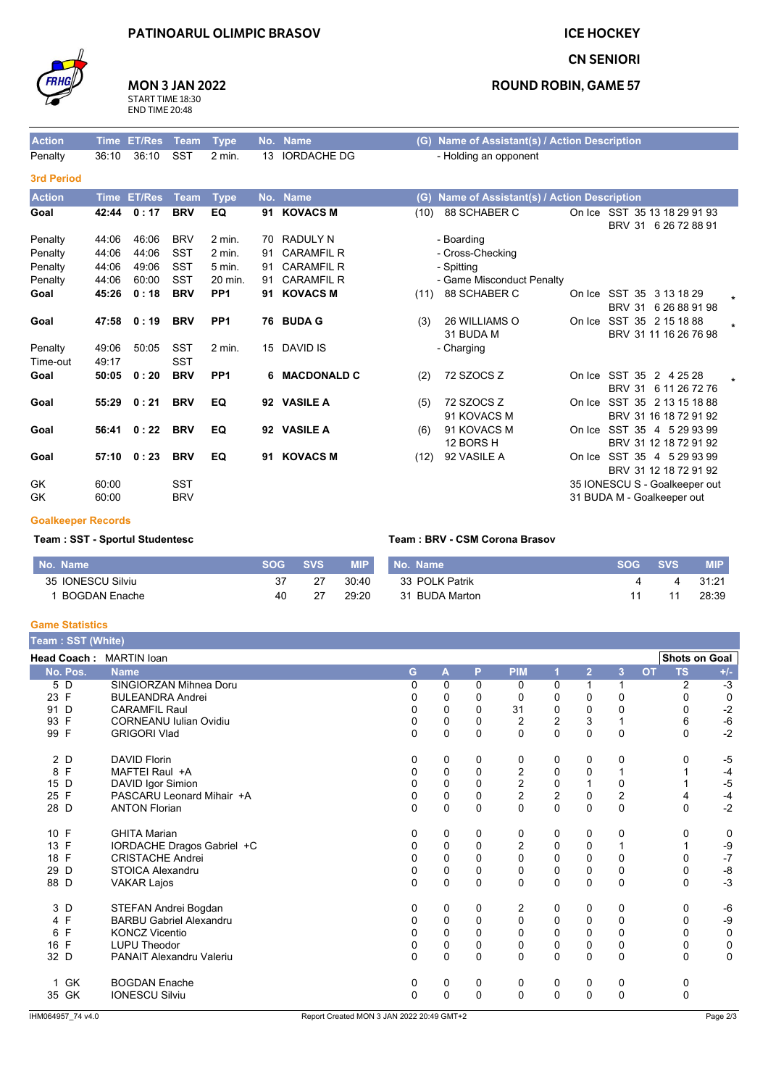## **PATINOARUL OLIMPIC BRASOV**

 $2$  min.

No. Name

13 IORDACHE DG

**ICE HOCKEY** 



Action

Penalty

# **MON 3 JAN 2022**

START TIME 18:30<br>END TIME 20:48

 $SST$ 

Time ET/Res Team Type

36:10 36:10

#### **CN SENIORI**

### **ROUND ROBIN, GAME 57**

(G) Name of Assistant(s) / Action Description - Holding an opponent

| <b>3rd Period</b>   |                |               |                          |                 |    |                   |      |                                           |        |                                                                |  |
|---------------------|----------------|---------------|--------------------------|-----------------|----|-------------------|------|-------------------------------------------|--------|----------------------------------------------------------------|--|
| <b>Action</b>       | <b>Time</b>    | <b>ET/Res</b> | Team                     | <b>Type</b>     |    | No. Name          | (G)  | Name of Assistant(s) / Action Description |        |                                                                |  |
| Goal                | 42:44          | 0:17          | <b>BRV</b>               | EQ              |    | 91 KOVACS M       | (10) | 88 SCHABER C                              |        | On Ice SST 35 13 18 29 91 93<br><b>BRV 31</b><br>6 26 72 88 91 |  |
| Penalty             | 44:06          | 46:06         | <b>BRV</b>               | $2$ min.        | 70 | <b>RADULY N</b>   |      | - Boarding                                |        |                                                                |  |
| Penalty             | 44:06          | 44:06         | <b>SST</b>               | $2$ min.        | 91 | <b>CARAMFIL R</b> |      | - Cross-Checking                          |        |                                                                |  |
| Penalty             | 44:06          | 49:06         | <b>SST</b>               | 5 min.          | 91 | <b>CARAMFIL R</b> |      | - Spitting                                |        |                                                                |  |
| Penalty             | 44:06          | 60:00         | <b>SST</b>               | 20 min.         | 91 | <b>CARAMFIL R</b> |      | - Game Misconduct Penalty                 |        |                                                                |  |
| Goal                | 45:26          | 0:18          | <b>BRV</b>               | PP <sub>1</sub> | 91 | <b>KOVACS M</b>   | (11) | 88 SCHABER C                              | On Ice | SST 35<br>3 13 18 29<br><b>BRV 31</b><br>6 26 88 91 98         |  |
| Goal                | 47:58          | 0:19          | <b>BRV</b>               | PP <sub>1</sub> |    | 76 BUDA G         | (3)  | 26 WILLIAMS O                             | On Ice | SST 35 2 15 18 88                                              |  |
| Penalty<br>Time-out | 49.06<br>49:17 | 50:05         | <b>SST</b><br><b>SST</b> | $2$ min.        |    | 15 DAVID IS       |      | 31 BUDA M<br>- Charging                   |        | BRV 31 11 16 26 76 98                                          |  |
| Goal                | 50:05          | 0:20          | <b>BRV</b>               | PP <sub>1</sub> |    | 6 MACDONALD C     | (2)  | 72 SZOCS Z                                |        | On Ice SST 35<br>2 4 25 28<br><b>BRV 31</b><br>6 11 26 72 76   |  |
| Goal                | 55:29          | 0:21          | <b>BRV</b>               | EQ              |    | 92 VASILE A       | (5)  | 72 SZOCS Z<br>91 KOVACS M                 |        | On Ice SST 35 2 13 15 18 88<br>BRV 31 16 18 72 91 92           |  |
| Goal                |                | 56:41 0:22    | <b>BRV</b>               | EQ              |    | 92 VASILE A       | (6)  | 91 KOVACS M<br>12 BORS H                  |        | On Ice SST 35 4 5 29 93 99<br>BRV 31 12 18 72 91 92            |  |
| Goal                | 57:10          | 0:23          | <b>BRV</b>               | EQ              | 91 | <b>KOVACS M</b>   | (12) | 92 VASILE A                               |        | On Ice SST 35 4 5 29 93 99<br>BRV 31 12 18 72 91 92            |  |
| GK<br>GK            | 60:00<br>60:00 |               | <b>SST</b><br><b>BRV</b> |                 |    |                   |      |                                           |        | 35 IONESCU S - Goalkeeper out<br>31 BUDA M - Goalkeeper out    |  |

#### **Goalkeeper Records**

#### Team: SST - Sportul Studentesc

| No. Name             |    | <b>SVS</b> | <b>MIP</b> | No. Name       | <b>SVS</b> | <b>MIP</b> |
|----------------------|----|------------|------------|----------------|------------|------------|
| 35 IONESCU Silviu    |    |            | 30:40      | 33 POLK Patrik |            | 31:21      |
| <b>BOGDAN Enache</b> | 40 |            | 29:20      | 31 BUDA Marton |            | 28:39      |

Team: BRV - CSM Corona Brasov

#### **Game Statistics**

|                 | Team: SST (White) |                                 |             |             |             |                |                |                |                |           |                      |             |
|-----------------|-------------------|---------------------------------|-------------|-------------|-------------|----------------|----------------|----------------|----------------|-----------|----------------------|-------------|
|                 |                   | <b>Head Coach: MARTIN loan</b>  |             |             |             |                |                |                |                |           | <b>Shots on Goal</b> |             |
|                 | No. Pos.          | <b>Name</b>                     | G           | A           | P           | <b>PIM</b>     |                | $\overline{2}$ | 3              | <b>OT</b> | <b>TS</b>            | $+/-$       |
| $5\overline{D}$ |                   | SINGIORZAN Mihnea Doru          | $\Omega$    | 0           | $\Omega$    | $\Omega$       | $\Omega$       |                | $\mathbf{1}$   |           | 2                    | $-3$        |
| 23 F            |                   | <b>BULEANDRA Andrei</b>         | 0           | 0           | $\Omega$    | 0              | 0              | 0              | 0              |           | 0                    | $\mathbf 0$ |
| 91 D            |                   | <b>CARAMFIL Raul</b>            | 0           | $\mathbf 0$ | $\Omega$    | 31             | 0              | 0              | $\mathbf 0$    |           | 0                    | $-2$        |
| 93 F            |                   | <b>CORNEANU Iulian Ovidiu</b>   | 0           | 0           | $\Omega$    | $\overline{2}$ | $\overline{c}$ | 3              | 1              |           | 6                    | $-6$        |
| 99 F            |                   | <b>GRIGORI Vlad</b>             | $\Omega$    | $\Omega$    | $\Omega$    | $\mathbf{0}$   | $\mathbf 0$    | $\Omega$       | $\mathbf 0$    |           | $\Omega$             | $-2$        |
| 2 D             |                   | <b>DAVID Florin</b>             | 0           | 0           | 0           | 0              | 0              | 0              | 0              |           | 0                    | $-5$        |
| 8 F             |                   | MAFTEI Raul +A                  | 0           | 0           | $\mathbf 0$ | 2              | 0              | 0              | 1              |           |                      | $-4$        |
| 15 D            |                   | DAVID Igor Simion               | 0           | $\mathbf 0$ | $\Omega$    | $\frac{2}{2}$  | $\mathbf 0$    |                | $\mathbf 0$    |           |                      | $-5$        |
| 25 F            |                   | PASCARU Leonard Mihair +A       | 0           | 0           | 0           |                | $\overline{c}$ | 0              | $\overline{2}$ |           |                      | $-4$        |
| 28 D            |                   | <b>ANTON Florian</b>            | $\Omega$    | $\mathbf 0$ | $\Omega$    | $\Omega$       | $\Omega$       | 0              | $\mathbf 0$    |           | $\Omega$             | $-2$        |
| 10 F            |                   | <b>GHITA Marian</b>             | 0           | 0           | 0           | 0              | 0              | 0              | 0              |           | 0                    | 0           |
| 13 F            |                   | IORDACHE Dragos Gabriel +C      | 0           | 0           | $\Omega$    | $\overline{c}$ | 0              | 0              | 1              |           |                      | -9          |
| 18 F            |                   | <b>CRISTACHE Andrei</b>         | 0           | 0           | $\Omega$    | 0              | $\Omega$       | 0              | 0              |           | U                    | $-7$        |
| 29 D            |                   | <b>STOICA Alexandru</b>         | 0           | 0           | $\mathbf 0$ | $\mathbf 0$    | $\mathbf 0$    | 0              | 0              |           | 0                    | -8          |
| 88 D            |                   | <b>VAKAR Lajos</b>              | $\Omega$    | $\Omega$    | $\Omega$    | $\mathbf{0}$   | $\Omega$       | $\Omega$       | $\mathbf 0$    |           | $\Omega$             | $-3$        |
| 3 D             |                   | STEFAN Andrei Bogdan            | 0           | 0           | 0           | 2              | 0              | 0              | 0              |           | 0                    | -6          |
| 4 F             |                   | <b>BARBU Gabriel Alexandru</b>  | 0           | 0           | $\Omega$    | 0              | 0              | 0              | $\mathbf 0$    |           | 0                    | -9          |
| 6               | F                 | <b>KONCZ Vicentio</b>           | 0           | $\mathbf 0$ | 0           | 0              | 0              | 0              | 0              |           |                      | $\mathbf 0$ |
| 16 F            |                   | <b>LUPU Theodor</b>             | 0           | 0           | $\Omega$    | 0              | 0              | 0              | $\mathbf 0$    |           | 0                    | 0           |
| 32 D            |                   | <b>PANAIT Alexandru Valeriu</b> | $\mathbf 0$ | 0           | $\Omega$    | 0              | $\Omega$       | 0              | $\mathbf 0$    |           | 0                    | $\mathbf 0$ |
|                 | 1 GK              | <b>BOGDAN Enache</b>            | 0           | 0           | 0           | 0              | 0              | 0              | 0              |           | 0                    |             |
|                 | 35 GK             | <b>IONESCU Silviu</b>           | $\mathbf 0$ | $\mathbf 0$ | $\Omega$    | 0              | $\mathbf 0$    | 0              | $\mathbf 0$    |           | 0                    |             |